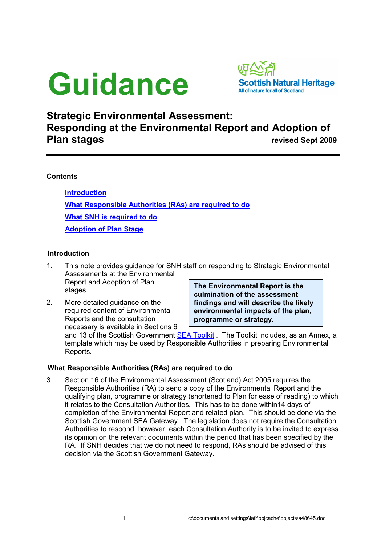# Guidance



## Strategic Environmental Assessment: Responding at the Environmental Report and Adoption of **Plan stages revised Sept 2009**

### **Contents**

Introduction What Responsible Authorities (RAs) are required to do What SNH is required to do Adoption of Plan Stage

#### Introduction

1. This note provides guidance for SNH staff on responding to Strategic Environmental Assessments at the Environmental Report and Adoption of Plan

stages.

2. More detailed guidance on the required content of Environmental Reports and the consultation necessary is available in Sections 6 The Environmental Report is the culmination of the assessment findings and will describe the likely environmental impacts of the plan, programme or strategy.

and 13 of the Scottish Government **SEA Toolkit**. The Toolkit includes, as an Annex, a template which may be used by Responsible Authorities in preparing Environmental Reports.

#### What Responsible Authorities (RAs) are required to do

3. Section 16 of the Environmental Assessment (Scotland) Act 2005 requires the Responsible Authorities (RA) to send a copy of the Environmental Report and the qualifying plan, programme or strategy (shortened to Plan for ease of reading) to which it relates to the Consultation Authorities. This has to be done within14 days of completion of the Environmental Report and related plan. This should be done via the Scottish Government SEA Gateway. The legislation does not require the Consultation Authorities to respond, however, each Consultation Authority is to be invited to express its opinion on the relevant documents within the period that has been specified by the RA. If SNH decides that we do not need to respond, RAs should be advised of this decision via the Scottish Government Gateway.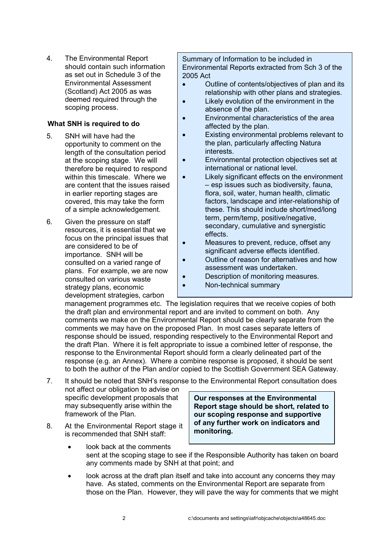4. The Environmental Report should contain such information as set out in Schedule 3 of the Environmental Assessment (Scotland) Act 2005 as was deemed required through the scoping process.

### What SNH is required to do

- 5. SNH will have had the opportunity to comment on the length of the consultation period at the scoping stage. We will therefore be required to respond within this timescale. Where we are content that the issues raised in earlier reporting stages are covered, this may take the form of a simple acknowledgement.
- 6. Given the pressure on staff resources, it is essential that we focus on the principal issues that are considered to be of importance. SNH will be consulted on a varied range of plans. For example, we are now consulted on various waste strategy plans, economic development strategies, carbon

Summary of Information to be included in Environmental Reports extracted from Sch 3 of the 2005 Act

- Outline of contents/objectives of plan and its relationship with other plans and strategies.
- Likely evolution of the environment in the absence of the plan.
- Environmental characteristics of the area affected by the plan.
- Existing environmental problems relevant to the plan, particularly affecting Natura interests.
- Environmental protection objectives set at international or national level.
- Likely significant effects on the environment – esp issues such as biodiversity, fauna, flora, soil, water, human health, climatic factors, landscape and inter-relationship of these. This should include short/med/long term, perm/temp, positive/negative, secondary, cumulative and synergistic effects.
- Measures to prevent, reduce, offset any significant adverse effects identified.
- Outline of reason for alternatives and how assessment was undertaken.
- Description of monitoring measures.
	- Non-technical summary

management programmes etc. The legislation requires that we receive copies of both the draft plan and environmental report and are invited to comment on both. Any comments we make on the Environmental Report should be clearly separate from the comments we may have on the proposed Plan. In most cases separate letters of response should be issued, responding respectively to the Environmental Report and the draft Plan. Where it is felt appropriate to issue a combined letter of response, the response to the Environmental Report should form a clearly delineated part of the response (e.g. an Annex). Where a combine response is proposed, it should be sent to both the author of the Plan and/or copied to the Scottish Government SEA Gateway.

- 7. It should be noted that SNH's response to the Environmental Report consultation does not affect our obligation to advise on
	- specific development proposals that may subsequently arise within the framework of the Plan.
- 8. At the Environmental Report stage it is recommended that SNH staff:

Our responses at the Environmental Report stage should be short, related to our scoping response and supportive of any further work on indicators and monitoring.

- look back at the comments sent at the scoping stage to see if the Responsible Authority has taken on board any comments made by SNH at that point; and
- look across at the draft plan itself and take into account any concerns they may have. As stated, comments on the Environmental Report are separate from those on the Plan. However, they will pave the way for comments that we might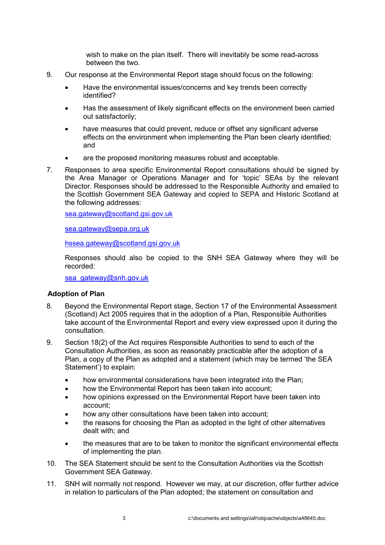wish to make on the plan itself. There will inevitably be some read-across between the two.

- 9. Our response at the Environmental Report stage should focus on the following:
	- Have the environmental issues/concerns and key trends been correctly identified?
	- Has the assessment of likely significant effects on the environment been carried out satisfactorily;
	- have measures that could prevent, reduce or offset any significant adverse effects on the environment when implementing the Plan been clearly identified; and
	- are the proposed monitoring measures robust and acceptable.
- 7. Responses to area specific Environmental Report consultations should be signed by the Area Manager or Operations Manager and for 'topic' SEAs by the relevant Director. Responses should be addressed to the Responsible Authority and emailed to the Scottish Government SEA Gateway and copied to SEPA and Historic Scotland at the following addresses:

sea.gateway@scotland.gsi.gov.uk

sea.gateway@sepa.org.uk

hssea.gateway@scotland.gsi.gov.uk

Responses should also be copied to the SNH SEA Gateway where they will be recorded:

sea\_gateway@snh.gov.uk

#### Adoption of Plan

- 8. Beyond the Environmental Report stage, Section 17 of the Environmental Assessment (Scotland) Act 2005 requires that in the adoption of a Plan, Responsible Authorities take account of the Environmental Report and every view expressed upon it during the consultation.
- 9. Section 18(2) of the Act requires Responsible Authorities to send to each of the Consultation Authorities, as soon as reasonably practicable after the adoption of a Plan, a copy of the Plan as adopted and a statement (which may be termed 'the SEA Statement') to explain:
	- how environmental considerations have been integrated into the Plan;
	- how the Environmental Report has been taken into account;
	- how opinions expressed on the Environmental Report have been taken into account;
	- how any other consultations have been taken into account;
	- the reasons for choosing the Plan as adopted in the light of other alternatives dealt with; and
	- the measures that are to be taken to monitor the significant environmental effects of implementing the plan.
- 10. The SEA Statement should be sent to the Consultation Authorities via the Scottish Government SEA Gateway.
- 11. SNH will normally not respond. However we may, at our discretion, offer further advice in relation to particulars of the Plan adopted; the statement on consultation and